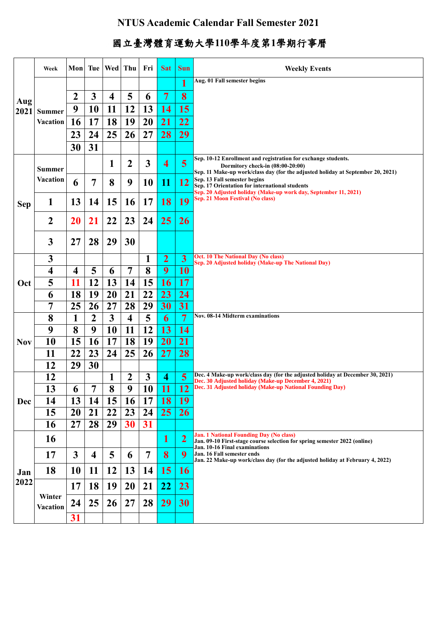## **NTUS Academic Calendar Fall Semester 2021**

## 國立臺灣體育運動大學**110**學年度第**1**學期行事曆

|             | Week                      | Mon          | Tue                     | <b>Wed</b>       | Thu            | Fri             | <b>Sat</b>              | <b>Sun</b>              | <b>Weekly Events</b>                                                                                                                                              |
|-------------|---------------------------|--------------|-------------------------|------------------|----------------|-----------------|-------------------------|-------------------------|-------------------------------------------------------------------------------------------------------------------------------------------------------------------|
| Aug<br>2021 |                           |              |                         |                  |                |                 |                         | 1                       | Aug. 01 Fall semester begins                                                                                                                                      |
|             | <b>Summer</b>             | 2            | 3                       | $\boldsymbol{4}$ | 5              | 6               | $7\phantom{.0}$         | 8                       |                                                                                                                                                                   |
|             |                           | 9            | 10                      | 11               | 12             | 13              | <b>14</b>               | 15                      |                                                                                                                                                                   |
|             | <b>Vacation</b>           | 16           | 17                      | <b>18</b>        | 19             | 20              | 21                      | 22                      |                                                                                                                                                                   |
|             |                           | 23           | 24                      | 25               | 26             | 27              | 28                      | 29                      |                                                                                                                                                                   |
|             |                           | 30           | 31                      |                  |                |                 |                         |                         |                                                                                                                                                                   |
| <b>Sep</b>  | <b>Summer</b>             |              |                         | 1                | 2              | 3               | $\overline{\mathbf{4}}$ | 5                       | Sep. 10-12 Enrollment and registration for exchange students.<br>Dormitory check-in (08:00-20:00)                                                                 |
|             | <b>Vacation</b>           | 6            | 7                       | 8                | 9              | <b>10</b>       | 11                      | 12                      | Sep. 11 Make-up work/class day (for the adjusted holiday at September 20, 2021)<br>Sep. 13 Fall semester begins<br>Sep. 17 Orientation for international students |
|             | 1                         | 13           | 14                      | 15               | 16             | 17              | 18                      | 19                      | Sep. 20 Adjusted holiday (Make-up work day, September 11, 2021)<br>Sep. 21 Moon Festival (No class)                                                               |
|             | $\boldsymbol{2}$          | 20           | 21                      | 22               | 23             | 24              | 25                      | <b>26</b>               |                                                                                                                                                                   |
|             | 3                         | 27           | 28                      | 29               | 30             |                 |                         |                         |                                                                                                                                                                   |
|             | 3                         |              |                         |                  |                | 1               | $\overline{2}$          | $\overline{\mathbf{3}}$ | Oct. 10 The National Day (No class)                                                                                                                               |
|             | 4                         | 4            | 5                       | 6                | 7              | 8               | 9                       | <b>10</b>               | Sep. 20 Adjusted holiday (Make-up The National Day)                                                                                                               |
| Oct         | 5                         | 11           | 12                      | 13               | 14             | 15              | <b>16</b>               | 17                      |                                                                                                                                                                   |
|             | 6                         | 18           | 19                      | 20               | 21             | 22              | 23                      | 24                      |                                                                                                                                                                   |
|             | 7                         | 25           | 26                      | 27               | 28             | 29              | 30                      | 31                      |                                                                                                                                                                   |
|             | 8                         | 1            | $\overline{2}$          | 3                | 4              | 5               | 6                       | 7                       | <b>Nov. 08-14 Midterm examinations</b>                                                                                                                            |
|             | 9                         | 8            | 9                       | 10               | 11             | 12              | 13                      | 14                      |                                                                                                                                                                   |
| <b>Nov</b>  | 10                        | 15           | 16                      | 17               | 18             | 19              | <b>20</b>               | 21                      |                                                                                                                                                                   |
|             | 11                        | 22           | 23                      | 24               | 25             | 26              | 27                      | 28                      |                                                                                                                                                                   |
|             | 12                        | 29           | 30                      |                  |                |                 |                         |                         |                                                                                                                                                                   |
|             | 12                        |              |                         | 1                | 2              | 3               | 4                       | 5                       | Dec. 4 Make-up work/class day (for the adjusted holiday at December 30, 2021)<br>Dec. 30 Adjusted holiday (Make-up December 4, 2021)                              |
| <b>Dec</b>  | 13                        | 6            | $\mathbf{r}$            | 8                | $\overline{9}$ | $\overline{10}$ |                         |                         | 11   12 Dec. 31 Adjusted holiday (Make-up National Founding Day)                                                                                                  |
|             | 14                        | 13           | 14                      | 15               | 16             | 17              | <b>18</b>               | 19                      |                                                                                                                                                                   |
|             | 15                        | 20           | 21                      | 22               | 23             | 24              | 25                      | 26                      |                                                                                                                                                                   |
|             | 16                        | 27           | 28                      | 29               | 30             | 31              |                         |                         |                                                                                                                                                                   |
| Jan<br>2022 | 16                        |              |                         |                  |                |                 | $\mathbf{1}$            | $\overline{\mathbf{2}}$ | <b>Jan. 1 National Founding Day (No class)</b><br>Jan. 09-10 First-stage course selection for spring semester 2022 (online)<br>Jan. 10-16 Final examinations      |
|             | 17                        | $\mathbf{3}$ | $\overline{\mathbf{4}}$ | 5                | 6              | $\overline{7}$  | 8                       | $\boldsymbol{9}$        | Jan. 16 Fall semester ends<br>Jan. 22 Make-up work/class day (for the adjusted holiday at February 4, 2022)                                                       |
|             | 18                        | 10           | 11                      | <b>12</b>        | 13             | 14              | 15                      | <b>16</b>               |                                                                                                                                                                   |
|             |                           | 17           | 18                      | 19               | 20             | 21              | 22                      | 23                      |                                                                                                                                                                   |
|             | Winter<br><b>Vacation</b> | 24           | 25                      | <b>26</b>        | 27             | 28              | 29                      | 30                      |                                                                                                                                                                   |
|             |                           | 31           |                         |                  |                |                 |                         |                         |                                                                                                                                                                   |